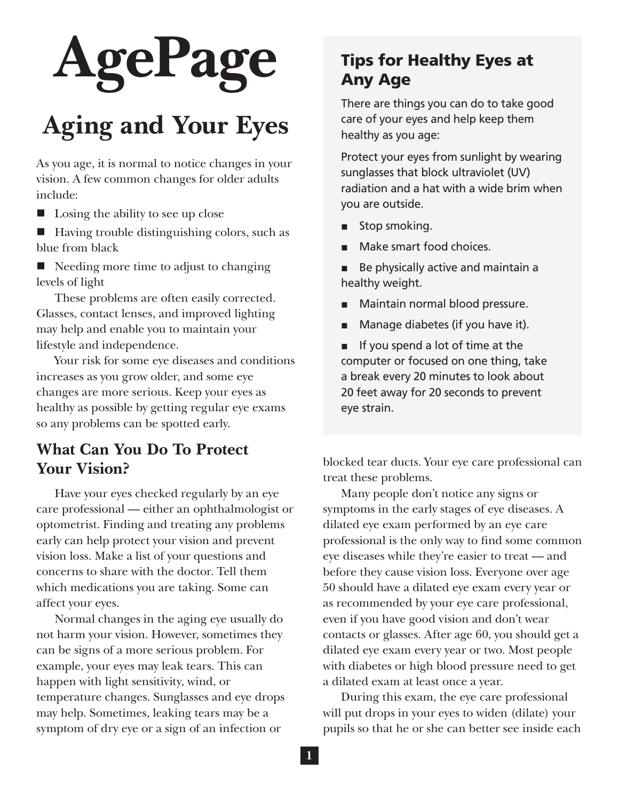# **AgePage**

# **Aging and Your Eyes**

As you age, it is normal to notice changes in your vision. A few common changes for older adults include:

- $\blacksquare$  Losing the ability to see up close
- Having trouble distinguishing colors, such as blue from black
- Needing more time to adjust to changing levels of light

These problems are often easily corrected. Glasses, contact lenses, and improved lighting may help and enable you to maintain your lifestyle and independence.

Your risk for some eye diseases and conditions increases as you grow older, and some eye changes are more serious. Keep your eyes as healthy as possible by getting regular eye exams so any problems can be spotted early.

### **What Can You Do To Protect Your Vision?**

Have your eyes checked regularly by an eye care professional — either an ophthalmologist or optometrist. Finding and treating any problems early can help protect your vision and prevent vision loss. Make a list of your questions and concerns to share with the doctor. Tell them which medications you are taking. Some can affect your eyes.

Normal changes in the aging eye usually do not harm your vision. However, sometimes they can be signs of a more serious problem. For example, your eyes may leak tears. This can happen with light sensitivity, wind, or temperature changes. Sunglasses and eye drops may help. Sometimes, leaking tears may be a symptom of dry eye or a sign of an infection or

# Tips for Healthy Eyes at Any Age

There are things you can do to take good care of your eyes and help keep them healthy as you age:

Protect your eyes from sunlight by wearing sunglasses that block ultraviolet (UV) radiation and a hat with a wide brim when you are outside.

- Stop smoking.
- Make smart food choices.
- Be physically active and maintain a healthy weight.
- Maintain normal blood pressure.
- Manage diabetes (if you have it).

■ If you spend a lot of time at the computer or focused on one thing, take a break every 20 minutes to look about 20 feet away for 20 seconds to prevent eye strain.

blocked tear ducts. Your eye care professional can treat these problems.

Many people don't notice any signs or symptoms in the early stages of eye diseases. A dilated eye exam performed by an eye care professional is the only way to fnd some common eye diseases while they're easier to treat — and before they cause vision loss. Everyone over age 50 should have a dilated eye exam every year or as recommended by your eye care professional, even if you have good vision and don't wear contacts or glasses. After age 60, you should get a dilated eye exam every year or two. Most people with diabetes or high blood pressure need to get a dilated exam at least once a year.

During this exam, the eye care professional will put drops in your eyes to widen (dilate) your pupils so that he or she can better see inside each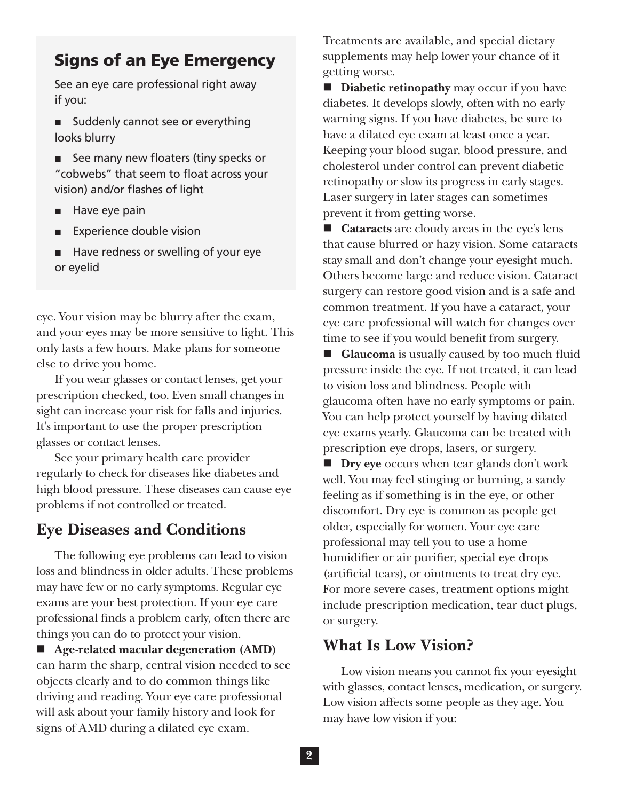#### Signs of an Eye Emergency

See an eye care professional right away if you:

- Suddenly cannot see or everything looks blurry
- See many new floaters (tiny specks or "cobwebs" that seem to float across your vision) and/or flashes of light
- Have eye pain
- **Experience double vision**
- Have redness or swelling of your eye or eyelid

eye. Your vision may be blurry after the exam, and your eyes may be more sensitive to light. This only lasts a few hours. Make plans for someone else to drive you home.

If you wear glasses or contact lenses, get your prescription checked, too. Even small changes in sight can increase your risk for falls and injuries. It's important to use the proper prescription glasses or contact lenses.

See your primary health care provider regularly to check for diseases like diabetes and high blood pressure. These diseases can cause eye problems if not controlled or treated.

#### **Eye Diseases and Conditions**

The following eye problems can lead to vision loss and blindness in older adults. These problems may have few or no early symptoms. Regular eye exams are your best protection. If your eye care professional fnds a problem early, often there are things you can do to protect your vision.

 **Age-related macular degeneration (AMD)**  can harm the sharp, central vision needed to see objects clearly and to do common things like driving and reading. Your eye care professional will ask about your family history and look for signs of AMD during a dilated eye exam.

Treatments are available, and special dietary supplements may help lower your chance of it getting worse.

**Diabetic retinopathy** may occur if you have diabetes. It develops slowly, often with no early warning signs. If you have diabetes, be sure to have a dilated eye exam at least once a year. Keeping your blood sugar, blood pressure, and cholesterol under control can prevent diabetic retinopathy or slow its progress in early stages. Laser surgery in later stages can sometimes prevent it from getting worse.

■ **Cataracts** are cloudy areas in the eye's lens that cause blurred or hazy vision. Some cataracts stay small and don't change your eyesight much. Others become large and reduce vision. Cataract surgery can restore good vision and is a safe and common treatment. If you have a cataract, your eye care professional will watch for changes over time to see if you would beneft from surgery.

■ **Glaucoma** is usually caused by too much fluid pressure inside the eye. If not treated, it can lead to vision loss and blindness. People with glaucoma often have no early symptoms or pain. You can help protect yourself by having dilated eye exams yearly. Glaucoma can be treated with prescription eye drops, lasers, or surgery.

 **Dry eye** occurs when tear glands don't work well. You may feel stinging or burning, a sandy feeling as if something is in the eye, or other discomfort. Dry eye is common as people get older, especially for women. Your eye care professional may tell you to use a home humidifer or air purifer, special eye drops (artifcial tears), or ointments to treat dry eye. For more severe cases, treatment options might include prescription medication, tear duct plugs, or surgery.

#### **What Is Low Vision?**

Low vision means you cannot fx your eyesight with glasses, contact lenses, medication, or surgery. Low vision affects some people as they age. You may have low vision if you: